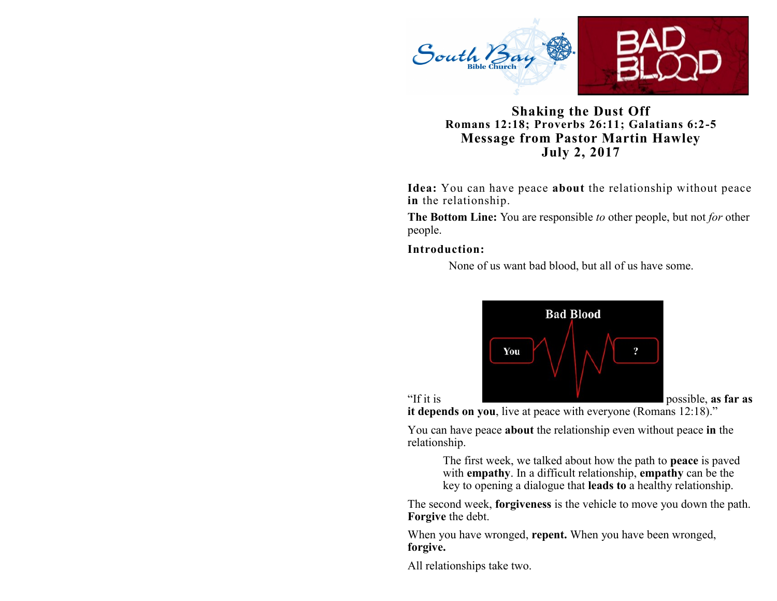

## **Shaking the Dust Off Romans 12:18; Proverbs 26:11; Galatians 6:2-5 Message from Pastor Martin Hawley July 2, 2017**

**Idea:** You can have peace **about** the relationship without peace **in** the relationship.

**The Bottom Line:** You are responsible *to* other people, but not *for* other people.

**Introduction:** 

None of us want bad blood, but all of us have some.



**it depends on you**, live at peace with everyone (Romans 12:18)."

You can have peace **about** the relationship even without peace **in** the relationship.

> The first week, we talked about how the path to **peace** is paved with **empathy**. In a difficult relationship, **empathy** can be the key to opening a dialogue that **leads to** a healthy relationship.

The second week, **forgiveness** is the vehicle to move you down the path. **Forgive** the debt.

When you have wronged, **repent.** When you have been wronged, **forgive.**

All relationships take two.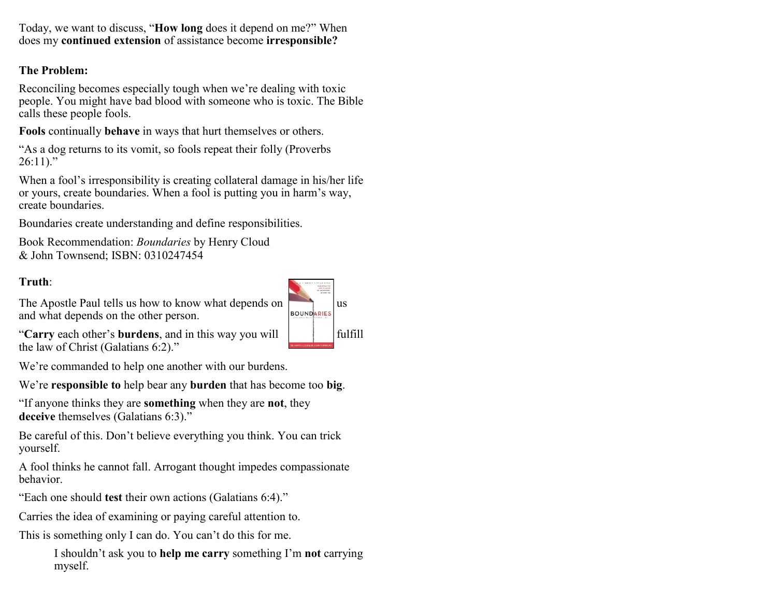Today, we want to discuss, "**How long** does it depend on me?" When does my **continued extension** of assistance become **irresponsible?**

## **The Problem:**

Reconciling becomes especially tough when we're dealing with toxic people. You might have bad blood with someone who is toxic. The Bible calls these people fools.

**Fools** continually **behave** in ways that hurt themselves or others.

"As a dog returns to its vomit, so fools repeat their folly (Proverbs  $26:11$ ."

When a fool's irresponsibility is creating collateral damage in his/her life or yours, create boundaries. When a fool is putting you in harm's way, create boundaries.

Boundaries create understanding and define responsibilities.

Book Recommendation: *Boundaries* by Henry Cloud & John Townsend; ISBN: 0310247454

#### **Truth**:

The Apostle Paul tells us how to know what depends on  $\left| \right|$  us and what depends on the other person and what depends on the other person.



"Carry each other's **burdens**, and in this way you will **fulfill** the law of Christ (Galatians 6:2)."

We're commanded to help one another with our burdens.

We're **responsible to** help bear any **burden** that has become too **big**.

"If anyone thinks they are **something** when they are **not**, they deceive themselves (Galatians 6:3)."

Be careful of this. Don't believe everything you think. You can trick yourself.

A fool thinks he cannot fall. Arrogant thought impedes compassionate behavior.

"Each one should **test** their own actions (Galatians 6:4)."

Carries the idea of examining or paying careful attention to.

This is something only I can do. You can't do this for me.

I shouldn't ask you to **help me carry** something I'm **not** carrying myself.